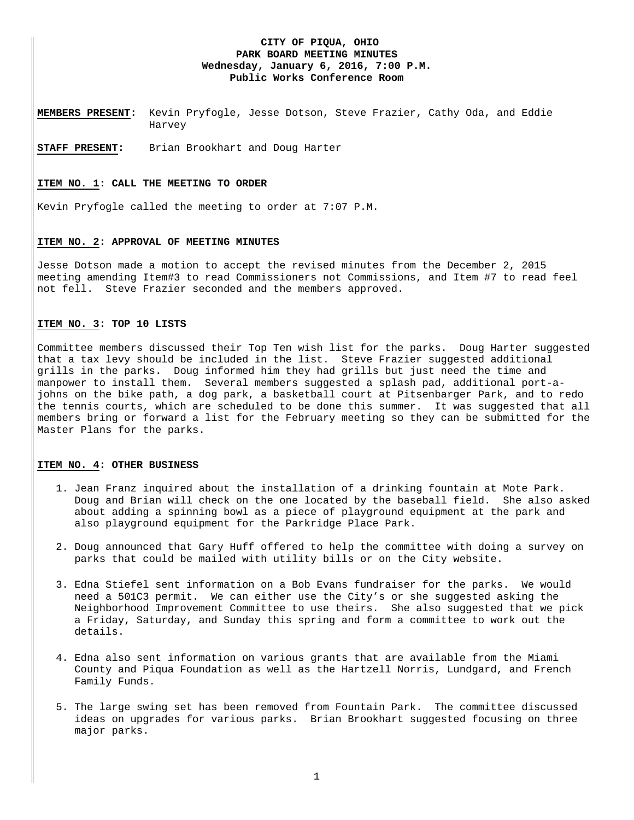# **CITY OF PIQUA, OHIO PARK BOARD MEETING MINUTES Wednesday, January 6, 2016, 7:00 P.M. Public Works Conference Room**

**MEMBERS PRESENT:** Kevin Pryfogle, Jesse Dotson, Steve Frazier, Cathy Oda, and Eddie Harvey

**STAFF PRESENT:** Brian Brookhart and Doug Harter

### **ITEM NO. 1: CALL THE MEETING TO ORDER**

Kevin Pryfogle called the meeting to order at 7:07 P.M.

#### **ITEM NO. 2: APPROVAL OF MEETING MINUTES**

Jesse Dotson made a motion to accept the revised minutes from the December 2, 2015 meeting amending Item#3 to read Commissioners not Commissions, and Item #7 to read feel not fell. Steve Frazier seconded and the members approved.

#### **ITEM NO. 3: TOP 10 LISTS**

Committee members discussed their Top Ten wish list for the parks. Doug Harter suggested that a tax levy should be included in the list. Steve Frazier suggested additional grills in the parks. Doug informed him they had grills but just need the time and manpower to install them. Several members suggested a splash pad, additional port-ajohns on the bike path, a dog park, a basketball court at Pitsenbarger Park, and to redo the tennis courts, which are scheduled to be done this summer. It was suggested that all members bring or forward a list for the February meeting so they can be submitted for the Master Plans for the parks.

#### **ITEM NO. 4: OTHER BUSINESS**

- 1. Jean Franz inquired about the installation of a drinking fountain at Mote Park. Doug and Brian will check on the one located by the baseball field. She also asked about adding a spinning bowl as a piece of playground equipment at the park and also playground equipment for the Parkridge Place Park.
- 2. Doug announced that Gary Huff offered to help the committee with doing a survey on parks that could be mailed with utility bills or on the City website.
- 3. Edna Stiefel sent information on a Bob Evans fundraiser for the parks. We would need a 501C3 permit. We can either use the City's or she suggested asking the Neighborhood Improvement Committee to use theirs. She also suggested that we pick a Friday, Saturday, and Sunday this spring and form a committee to work out the details.
- 4. Edna also sent information on various grants that are available from the Miami County and Piqua Foundation as well as the Hartzell Norris, Lundgard, and French Family Funds.
- 5. The large swing set has been removed from Fountain Park. The committee discussed ideas on upgrades for various parks. Brian Brookhart suggested focusing on three major parks.